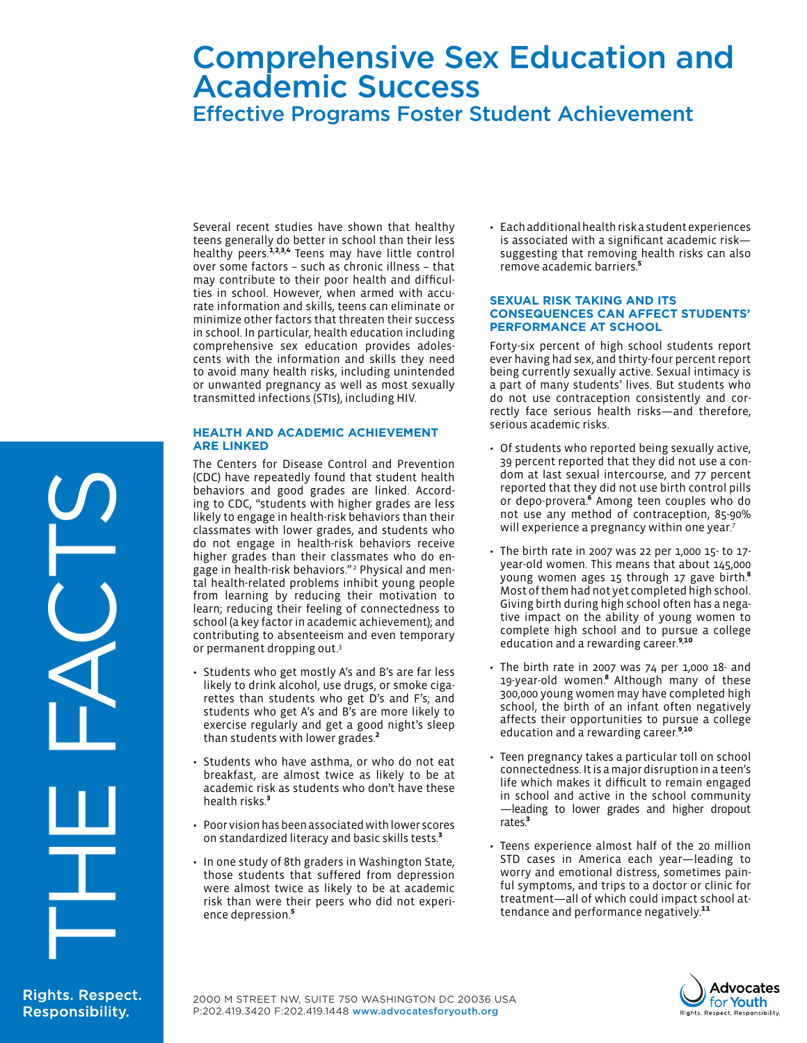# Comprehensive Sex Education and Academic Success Effective Programs Foster Student Achievement

Several recent studies have shown that healthy teens generally do better in school than their less healthy peers.<sup>1,2,3,4</sup> Teens may have little control over some factors – such as chronic illness – that may contribute to their poor health and difficulties in school. However, when armed with accurate information and skills, teens can eliminate or minimize other factors that threaten their success in school. In particular, health education including comprehensive sex education provides adolescents with the information and skills they need to avoid many health risks, including unintended or unwanted pregnancy as well as most sexually transmitted infections (STIs), including HIV.

# **Health and Academic Achievement are Linked**

The Centers for Disease Control and Prevention (CDC) have repeatedly found that student health behaviors and good grades are linked. According to CDC, "students with higher grades are less likely to engage in health-risk behaviors than their classmates with lower grades, and students who do not engage in health-risk behaviors receive higher grades than their classmates who do engage in health-risk behaviors." <sup>2</sup> Physical and mental health-related problems inhibit young people from learning by reducing their motivation to learn; reducing their feeling of connectedness to school (a key factor in academic achievement); and contributing to absenteeism and even temporary or permanent dropping out.3

- Students who get mostly A's and B's are far less likely to drink alcohol, use drugs, or smoke cigarettes than students who get D's and F's; and students who get A's and B's are more likely to exercise regularly and get a good night's sleep than students with lower grades.2
- Students who have asthma, or who do not eat breakfast, are almost twice as likely to be at academic risk as students who don't have these health risks.<sup>3</sup>
- • Poor vision has been associated with lower scores on standardized literacy and basic skills tests.<sup>3</sup>
- In one study of 8th graders in Washington State, those students that suffered from depression were almost twice as likely to be at academic risk than were their peers who did not experience depression.<sup>5</sup>

• Each additional health risk a student experiences is associated with a significant academic risk suggesting that removing health risks can also remove academic barriers.5

## **Sexual Risk Taking and its Consequences Can Affect Students' Performance at School**

Forty-six percent of high school students report ever having had sex, and thirty-four percent report being currently sexually active. Sexual intimacy is a part of many students' lives. But students who do not use contraception consistently and correctly face serious health risks—and therefore, serious academic risks.

- Of students who reported being sexually active, 39 percent reported that they did not use a condom at last sexual intercourse, and 77 percent reported that they did not use birth control pills or depo-provera.<sup>6</sup> Among teen couples who do not use any method of contraception, 85-90% will experience a pregnancy within one year.<sup>7</sup>
- $\cdot$  The birth rate in 2007 was 22 per 1,000 15- to 17year-old women. This means that about 145,000 young women ages 15 through 17 gave birth.<sup>8</sup> Most of them had not yet completed high school. Giving birth during high school often has a negative impact on the ability of young women to complete high school and to pursue a college education and a rewarding career.<sup>9,10</sup>
- The birth rate in 2007 was 74 per 1,000 18- and 19-year-old women.8 Although many of these 300,000 young women may have completed high school, the birth of an infant often negatively affects their opportunities to pursue a college education and a rewarding career.<sup>9,10</sup>
- • Teen pregnancy takes a particular toll on school connectedness. It is a major disruption in a teen's life which makes it difficult to remain engaged in school and active in the school community —leading to lower grades and higher dropout rates.<sup>3</sup>
- Teens experience almost half of the 20 million STD cases in America each year—leading to worry and emotional distress, sometimes painful symptoms, and trips to a doctor or clinic for treatment—all of which could impact school attendance and performance negatively.<sup>11</sup>



THE FACTS

**Rights. Respect. Responsibility.**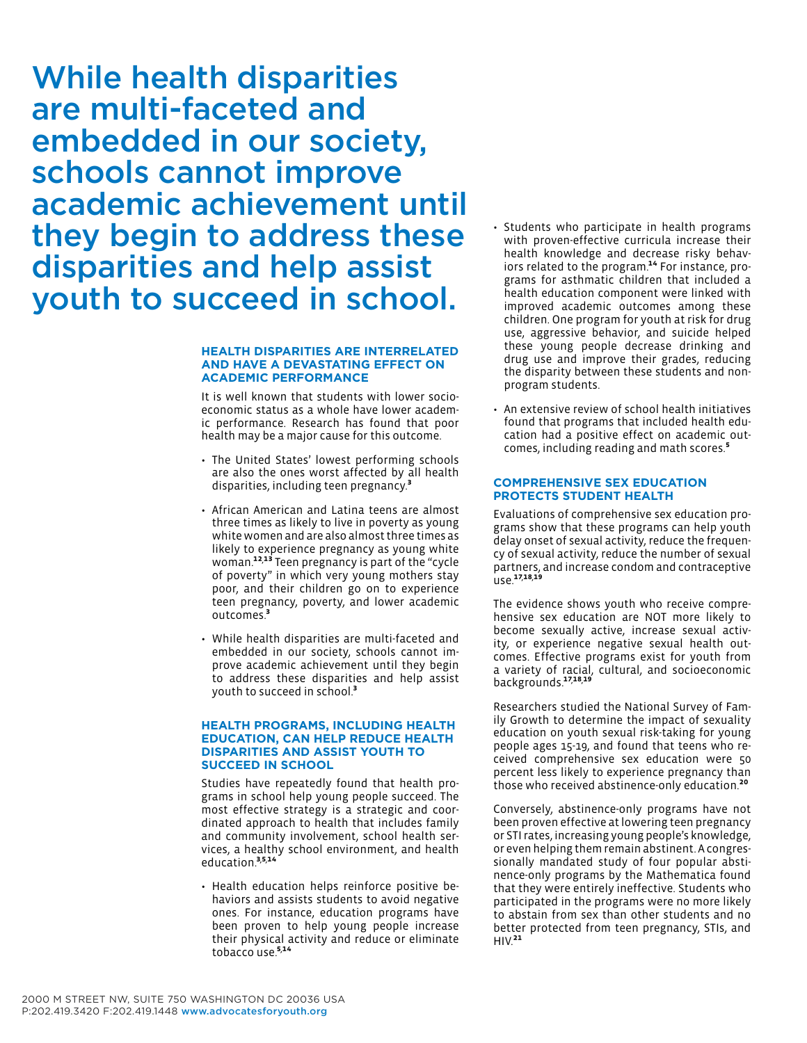While health disparities are multi-faceted and embedded in our society, schools cannot improve academic achievement until they begin to address these disparities and help assist youth to succeed in school.

## **Health Disparities Are Interrelated And Have A Devastating Effect On Academic Performance**

It is well known that students with lower socioeconomic status as a whole have lower academic performance. Research has found that poor health may be a major cause for this outcome.

- The United States' lowest performing schools are also the ones worst affected by all health disparities, including teen pregnancy.<sup>3</sup>
- African American and Latina teens are almost three times as likely to live in poverty as young white women and are also almost three times as likely to experience pregnancy as young white woman.12, 13 Teen pregnancy is part of the "cycle of poverty" in which very young mothers stay poor, and their children go on to experience teen pregnancy, poverty, and lower academic outcomes.<sup>3</sup>
- While health disparities are multi-faceted and embedded in our society, schools cannot improve academic achievement until they begin to address these disparities and help assist youth to succeed in school.<sup>3</sup>

## **Health Programs, Including Health Education, Can Help Reduce Health Disparities and Assist Youth to Succeed in School**

Studies have repeatedly found that health programs in school help young people succeed. The most effective strategy is a strategic and coordinated approach to health that includes family and community involvement, school health services, a healthy school environment, and health education.<sup>3,5,14</sup>

• Health education helps reinforce positive behaviors and assists students to avoid negative ones. For instance, education programs have been proven to help young people increase their physical activity and reduce or eliminate tobacco use.<sup>5,14</sup>

- • Students who participate in health programs with proven-effective curricula increase their health knowledge and decrease risky behaviors related to the program.<sup>14</sup> For instance, programs for asthmatic children that included a health education component were linked with improved academic outcomes among these children. One program for youth at risk for drug use, aggressive behavior, and suicide helped these young people decrease drinking and drug use and improve their grades, reducing the disparity between these students and nonprogram students.
- An extensive review of school health initiatives found that programs that included health education had a positive effect on academic outcomes, including reading and math scores.5

### **Comprehensive Sex Education Protects Student Health**

Evaluations of comprehensive sex education programs show that these programs can help youth delay onset of sexual activity, reduce the frequency of sexual activity, reduce the number of sexual partners, and increase condom and contraceptive use.<sup>17,18,19</sup>

The evidence shows youth who receive comprehensive sex education are NOT more likely to become sexually active, increase sexual activity, or experience negative sexual health outcomes. Effective programs exist for youth from a variety of racial, cultural, and socioeconomic backgrounds.17,18,19

Researchers studied the National Survey of Family Growth to determine the impact of sexuality education on youth sexual risk-taking for young people ages 15-19, and found that teens who received comprehensive sex education were 50 percent less likely to experience pregnancy than those who received abstinence-only education.20

Conversely, abstinence-only programs have not been proven effective at lowering teen pregnancy or STI rates, increasing young people's knowledge, or even helping them remain abstinent. A congressionally mandated study of four popular abstinence-only programs by the Mathematica found that they were entirely ineffective. Students who participated in the programs were no more likely to abstain from sex than other students and no better protected from teen pregnancy, STIs, and  $HIV.<sup>21</sup>$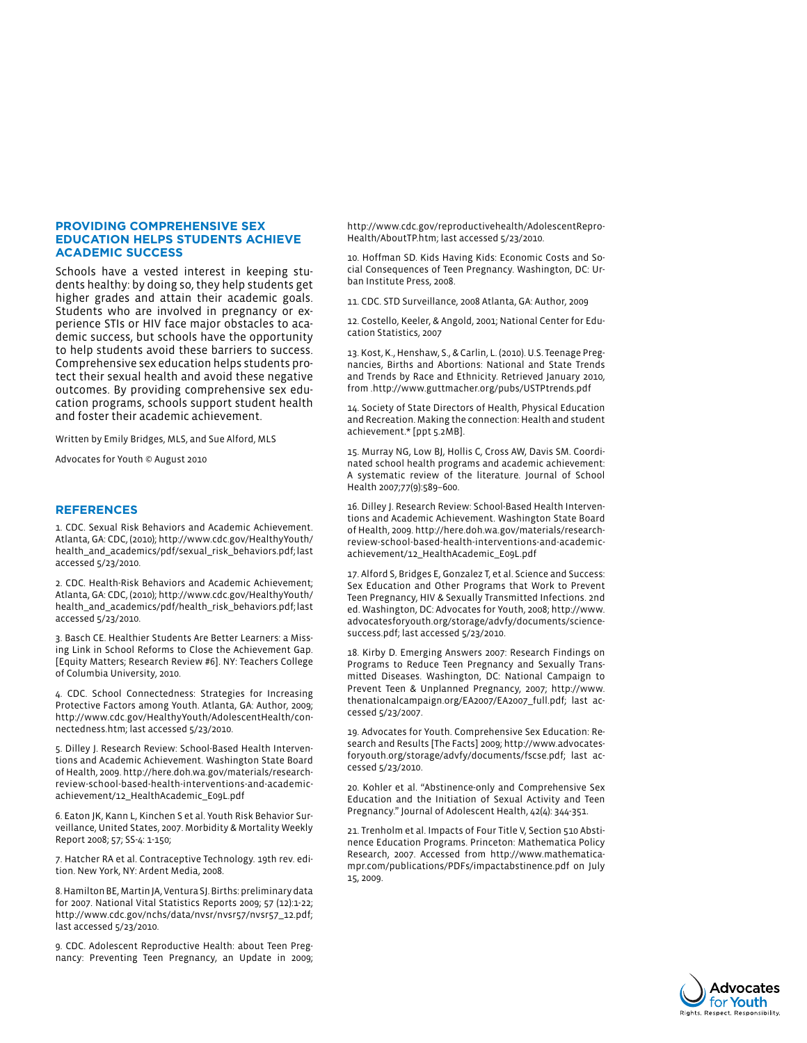#### **Providing Comprehensive Sex Education Helps Students Achieve Academic Success**

Schools have a vested interest in keeping students healthy: by doing so, they help students get higher grades and attain their academic goals. Students who are involved in pregnancy or experience STIs or HIV face major obstacles to academic success, but schools have the opportunity to help students avoid these barriers to success. Comprehensive sex education helps students protect their sexual health and avoid these negative outcomes. By providing comprehensive sex education programs, schools support student health and foster their academic achievement.

Written by Emily Bridges, MLS, and Sue Alford, MLS

Advocates for Youth © August 2010

#### **References**

1. CDC. Sexual Risk Behaviors and Academic Achievement. Atlanta, GA: CDC, (2010); http://www.cdc.gov/HealthyYouth/ health\_and\_academics/pdf/sexual\_risk\_behaviors.pdf; last accessed 5/23/2010.

2. CDC. Health-Risk Behaviors and Academic Achievement; Atlanta, GA: CDC, (2010); http://www.cdc.gov/HealthyYouth/ health\_and\_academics/pdf/health\_risk\_behaviors.pdf; last accessed 5/23/2010.

3. Basch CE. Healthier Students Are Better Learners: a Missing Link in School Reforms to Close the Achievement Gap. [Equity Matters; Research Review #6]. NY: Teachers College of Columbia University, 2010.

4. CDC. School Connectedness: Strategies for Increasing Protective Factors among Youth. Atlanta, GA: Author, 2009; http://www.cdc.gov/HealthyYouth/AdolescentHealth/connectedness.htm; last accessed 5/23/2010.

5. Dilley J. Research Review: School-Based Health Interventions and Academic Achievement. Washington State Board of Health, 2009. http://here.doh.wa.gov/materials/researchreview-school-based-health-interventions-and-academicachievement/12\_HealthAcademic\_E09L.pdf

6. Eaton JK, Kann L, Kinchen S et al. Youth Risk Behavior Surveillance, United States, 2007. Morbidity & Mortality Weekly Report 2008; 57; SS-4: 1-150;

7. Hatcher RA et al. Contraceptive Technology. 19th rev. edition. New York, NY: Ardent Media, 2008.

8. Hamilton BE, Martin JA, Ventura SJ. Births: preliminary data for 2007. National Vital Statistics Reports 2009; 57 (12):1-22; http://www.cdc.gov/nchs/data/nvsr/nvsr57/nvsr57\_12.pdf; last accessed 5/23/2010.

9. CDC. Adolescent Reproductive Health: about Teen Pregnancy: Preventing Teen Pregnancy, an Update in 2009; http://www.cdc.gov/reproductivehealth/AdolescentRepro-Health/AboutTP.htm; last accessed 5/23/2010.

10. Hoffman SD. Kids Having Kids: Economic Costs and Social Consequences of Teen Pregnancy. Washington, DC: Urban Institute Press, 2008.

11. CDC. STD Surveillance, 2008 Atlanta, GA: Author, 2009

12. Costello, Keeler, & Angold, 2001; National Center for Education Statistics, 2007

13. Kost, K., Henshaw, S., & Carlin, L. (2010). U.S. Teenage Pregnancies, Births and Abortions: National and State Trends and Trends by Race and Ethnicity. Retrieved January 2010, from .http://www.guttmacher.org/pubs/USTPtrends.pdf

14. Society of State Directors of Health, Physical Education and Recreation. Making the connection: Health and student achievement.\* [ppt 5.2MB].

15. Murray NG, Low BJ, Hollis C, Cross AW, Davis SM. Coordinated school health programs and academic achievement: A systematic review of the literature. Journal of School Health 2007;77(9):589–600.

16. Dilley J. Research Review: School-Based Health Interventions and Academic Achievement. Washington State Board of Health, 2009. http://here.doh.wa.gov/materials/researchreview-school-based-health-interventions-and-academicachievement/12\_HealthAcademic\_E09L.pdf

17. Alford S, Bridges E, Gonzalez T, et al. Science and Success: Sex Education and Other Programs that Work to Prevent Teen Pregnancy, HIV & Sexually Transmitted Infections. 2nd ed. Washington, DC: Advocates for Youth, 2008; http://www. advocatesforyouth.org/storage/advfy/documents/sciencesuccess.pdf; last accessed 5/23/2010.

18. Kirby D. Emerging Answers 2007: Research Findings on Programs to Reduce Teen Pregnancy and Sexually Transmitted Diseases. Washington, DC: National Campaign to Prevent Teen & Unplanned Pregnancy, 2007; http://www. thenationalcampaign.org/EA2007/EA2007\_full.pdf; last accessed 5/23/2007.

19. Advocates for Youth. Comprehensive Sex Education: Research and Results [The Facts] 2009; http://www.advocatesforyouth.org/storage/advfy/documents/fscse.pdf; last accessed 5/23/2010.

20. Kohler et al. "Abstinence-only and Comprehensive Sex Education and the Initiation of Sexual Activity and Teen Pregnancy." Journal of Adolescent Health, 42(4): 344-351.

21. Trenholm et al. Impacts of Four Title V, Section 510 Abstinence Education Programs. Princeton: Mathematica Policy Research, 2007. Accessed from http://www.mathematicampr.com/publications/PDFs/impactabstinence.pdf on July 15, 2009.